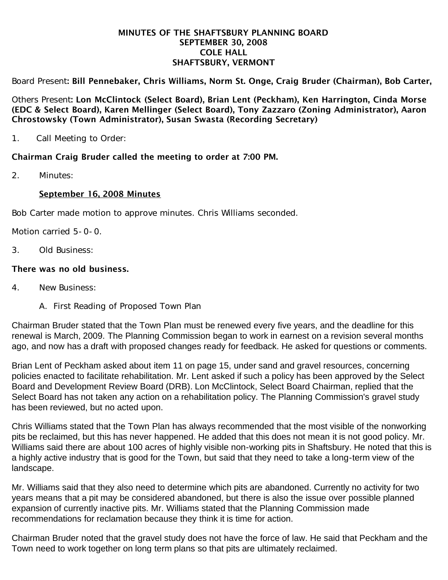#### MINUTES OF THE SHAFTSBURY PLANNING BOARD SEPTEMBER 30, 2008 COLE HALL SHAFTSBURY, VERMONT

Board Present: Bill Pennebaker, Chris Williams, Norm St. Onge, Craig Bruder (Chairman), Bob Carter,

Others Present: Lon McClintock (Select Board), Brian Lent (Peckham), Ken Harrington, Cinda Morse (EDC & Select Board), Karen Mellinger (Select Board), Tony Zazzaro (Zoning Administrator), Aaron Chrostowsky (Town Administrator), Susan Swasta (Recording Secretary)

1. Call Meeting to Order:

## Chairman Craig Bruder called the meeting to order at 7:00 PM.

2. Minutes:

### September 16, 2008 Minutes

Bob Carter made motion to approve minutes. Chris Williams seconded.

Motion carried 5-0-0.

3. Old Business:

### There was no old business.

- 4. New Business:
	- A. First Reading of Proposed Town Plan

Chairman Bruder stated that the Town Plan must be renewed every five years, and the deadline for this renewal is March, 2009. The Planning Commission began to work in earnest on a revision several months ago, and now has a draft with proposed changes ready for feedback. He asked for questions or comments.

Brian Lent of Peckham asked about item 11 on page 15, under sand and gravel resources, concerning policies enacted to facilitate rehabilitation. Mr. Lent asked if such a policy has been approved by the Select Board and Development Review Board (DRB). Lon McClintock, Select Board Chairman, replied that the Select Board has not taken any action on a rehabilitation policy. The Planning Commission's gravel study has been reviewed, but no acted upon.

Chris Williams stated that the Town Plan has always recommended that the most visible of the nonworking pits be reclaimed, but this has never happened. He added that this does not mean it is not good policy. Mr. Williams said there are about 100 acres of highly visible non-working pits in Shaftsbury. He noted that this is a highly active industry that is good for the Town, but said that they need to take a long-term view of the landscape.

Mr. Williams said that they also need to determine which pits are abandoned. Currently no activity for two years means that a pit may be considered abandoned, but there is also the issue over possible planned expansion of currently inactive pits. Mr. Williams stated that the Planning Commission made recommendations for reclamation because they think it is time for action.

Chairman Bruder noted that the gravel study does not have the force of law. He said that Peckham and the Town need to work together on long term plans so that pits are ultimately reclaimed.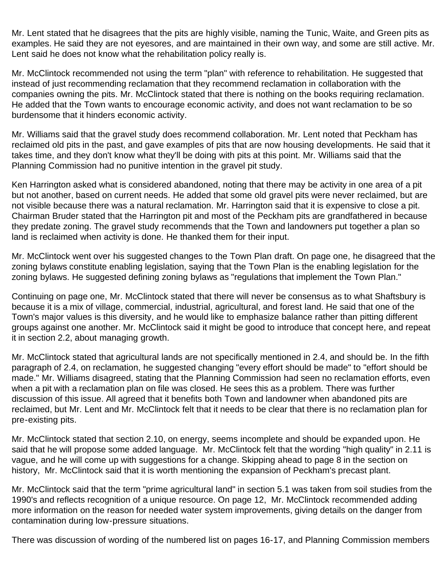Mr. Lent stated that he disagrees that the pits are highly visible, naming the Tunic, Waite, and Green pits as examples. He said they are not eyesores, and are maintained in their own way, and some are still active. Mr. Lent said he does not know what the rehabilitation policy really is.

Mr. McClintock recommended not using the term "plan" with reference to rehabilitation. He suggested that instead of just recommending reclamation that they recommend reclamation in collaboration with the companies owning the pits. Mr. McClintock stated that there is nothing on the books requiring reclamation. He added that the Town wants to encourage economic activity, and does not want reclamation to be so burdensome that it hinders economic activity.

Mr. Williams said that the gravel study does recommend collaboration. Mr. Lent noted that Peckham has reclaimed old pits in the past, and gave examples of pits that are now housing developments. He said that it takes time, and they don't know what they'll be doing with pits at this point. Mr. Williams said that the Planning Commission had no punitive intention in the gravel pit study.

Ken Harrington asked what is considered abandoned, noting that there may be activity in one area of a pit but not another, based on current needs. He added that some old gravel pits were never reclaimed, but are not visible because there was a natural reclamation. Mr. Harrington said that it is expensive to close a pit. Chairman Bruder stated that the Harrington pit and most of the Peckham pits are grandfathered in because they predate zoning. The gravel study recommends that the Town and landowners put together a plan so land is reclaimed when activity is done. He thanked them for their input.

Mr. McClintock went over his suggested changes to the Town Plan draft. On page one, he disagreed that the zoning bylaws constitute enabling legislation, saying that the Town Plan is the enabling legislation for the zoning bylaws. He suggested defining zoning bylaws as "regulations that implement the Town Plan."

Continuing on page one, Mr. McClintock stated that there will never be consensus as to what Shaftsbury is because it is a mix of village, commercial, industrial, agricultural, and forest land. He said that one of the Town's major values is this diversity, and he would like to emphasize balance rather than pitting different groups against one another. Mr. McClintock said it might be good to introduce that concept here, and repeat it in section 2.2, about managing growth.

Mr. McClintock stated that agricultural lands are not specifically mentioned in 2.4, and should be. In the fifth paragraph of 2.4, on reclamation, he suggested changing "every effort should be made" to "effort should be made." Mr. Williams disagreed, stating that the Planning Commission had seen no reclamation efforts, even when a pit with a reclamation plan on file was closed. He sees this as a problem. There was further discussion of this issue. All agreed that it benefits both Town and landowner when abandoned pits are reclaimed, but Mr. Lent and Mr. McClintock felt that it needs to be clear that there is no reclamation plan for pre-existing pits.

Mr. McClintock stated that section 2.10, on energy, seems incomplete and should be expanded upon. He said that he will propose some added language. Mr. McClintock felt that the wording "high quality" in 2.11 is vague, and he will come up with suggestions for a change. Skipping ahead to page 8 in the section on history, Mr. McClintock said that it is worth mentioning the expansion of Peckham's precast plant.

Mr. McClintock said that the term "prime agricultural land" in section 5.1 was taken from soil studies from the 1990's and reflects recognition of a unique resource. On page 12, Mr. McClintock recommended adding more information on the reason for needed water system improvements, giving details on the danger from contamination during low-pressure situations.

There was discussion of wording of the numbered list on pages 16-17, and Planning Commission members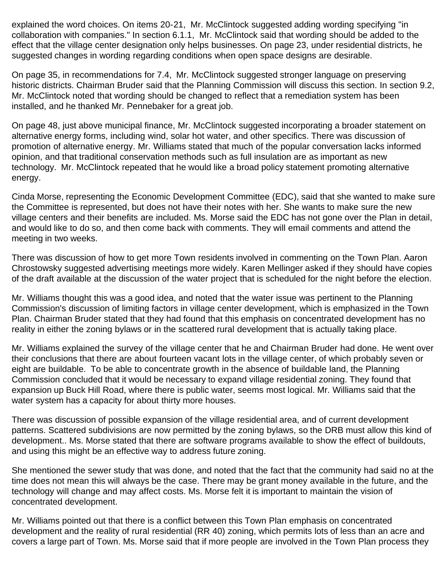explained the word choices. On items 20-21, Mr. McClintock suggested adding wording specifying "in collaboration with companies." In section 6.1.1, Mr. McClintock said that wording should be added to the effect that the village center designation only helps businesses. On page 23, under residential districts, he suggested changes in wording regarding conditions when open space designs are desirable.

On page 35, in recommendations for 7.4, Mr. McClintock suggested stronger language on preserving historic districts. Chairman Bruder said that the Planning Commission will discuss this section. In section 9.2, Mr. McClintock noted that wording should be changed to reflect that a remediation system has been installed, and he thanked Mr. Pennebaker for a great job.

On page 48, just above municipal finance, Mr. McClintock suggested incorporating a broader statement on alternative energy forms, including wind, solar hot water, and other specifics. There was discussion of promotion of alternative energy. Mr. Williams stated that much of the popular conversation lacks informed opinion, and that traditional conservation methods such as full insulation are as important as new technology. Mr. McClintock repeated that he would like a broad policy statement promoting alternative energy.

Cinda Morse, representing the Economic Development Committee (EDC), said that she wanted to make sure the Committee is represented, but does not have their notes with her. She wants to make sure the new village centers and their benefits are included. Ms. Morse said the EDC has not gone over the Plan in detail, and would like to do so, and then come back with comments. They will email comments and attend the meeting in two weeks.

There was discussion of how to get more Town residents involved in commenting on the Town Plan. Aaron Chrostowsky suggested advertising meetings more widely. Karen Mellinger asked if they should have copies of the draft available at the discussion of the water project that is scheduled for the night before the election.

Mr. Williams thought this was a good idea, and noted that the water issue was pertinent to the Planning Commission's discussion of limiting factors in village center development, which is emphasized in the Town Plan. Chairman Bruder stated that they had found that this emphasis on concentrated development has no reality in either the zoning bylaws or in the scattered rural development that is actually taking place.

Mr. Williams explained the survey of the village center that he and Chairman Bruder had done. He went over their conclusions that there are about fourteen vacant lots in the village center, of which probably seven or eight are buildable. To be able to concentrate growth in the absence of buildable land, the Planning Commission concluded that it would be necessary to expand village residential zoning. They found that expansion up Buck Hill Road, where there is public water, seems most logical. Mr. Williams said that the water system has a capacity for about thirty more houses.

There was discussion of possible expansion of the village residential area, and of current development patterns. Scattered subdivisions are now permitted by the zoning bylaws, so the DRB must allow this kind of development.. Ms. Morse stated that there are software programs available to show the effect of buildouts, and using this might be an effective way to address future zoning.

She mentioned the sewer study that was done, and noted that the fact that the community had said no at the time does not mean this will always be the case. There may be grant money available in the future, and the technology will change and may affect costs. Ms. Morse felt it is important to maintain the vision of concentrated development.

Mr. Williams pointed out that there is a conflict between this Town Plan emphasis on concentrated development and the reality of rural residential (RR 40) zoning, which permits lots of less than an acre and covers a large part of Town. Ms. Morse said that if more people are involved in the Town Plan process they